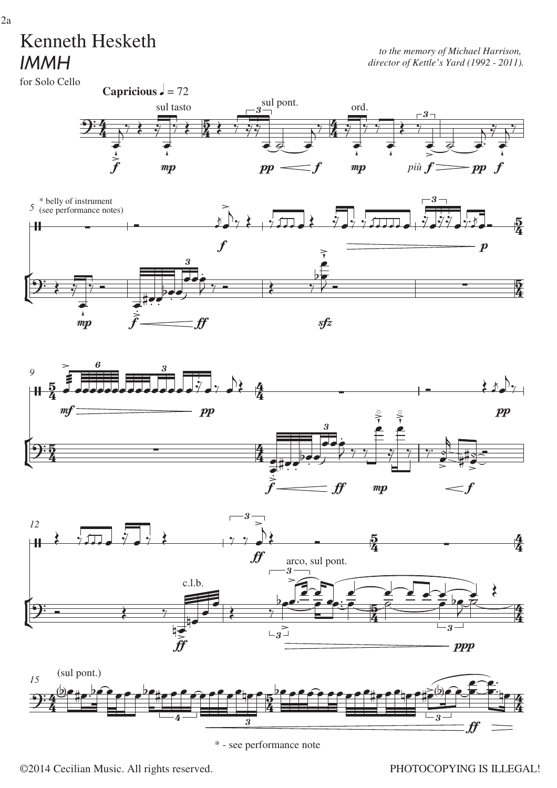## Kenneth Hesketh **IMMH**









\* - see performance note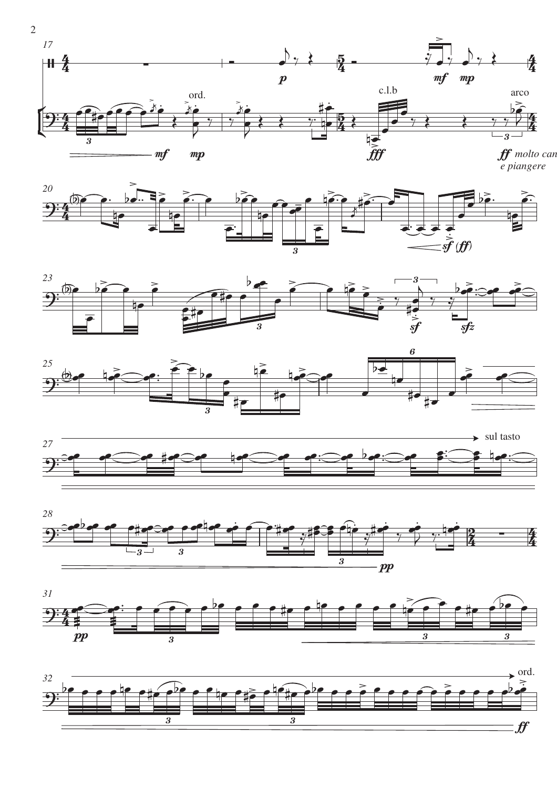

 $f f$  molto can e piangere













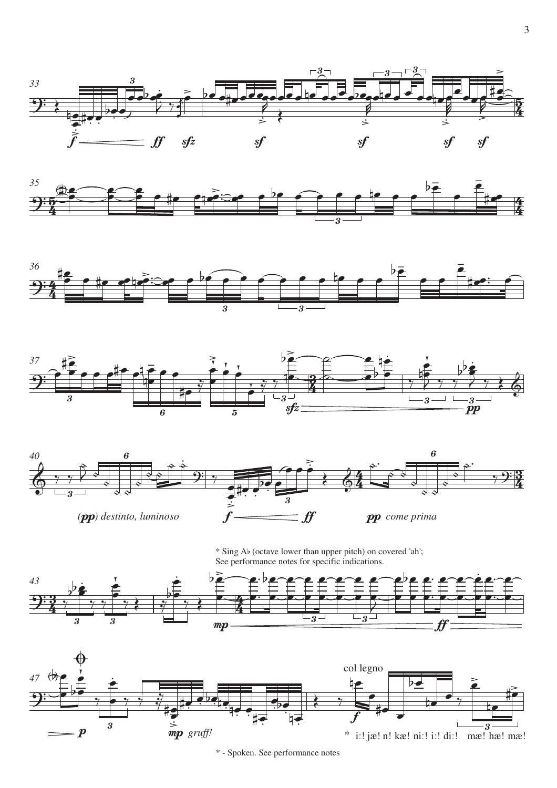













\* - Spoken. See performance notes